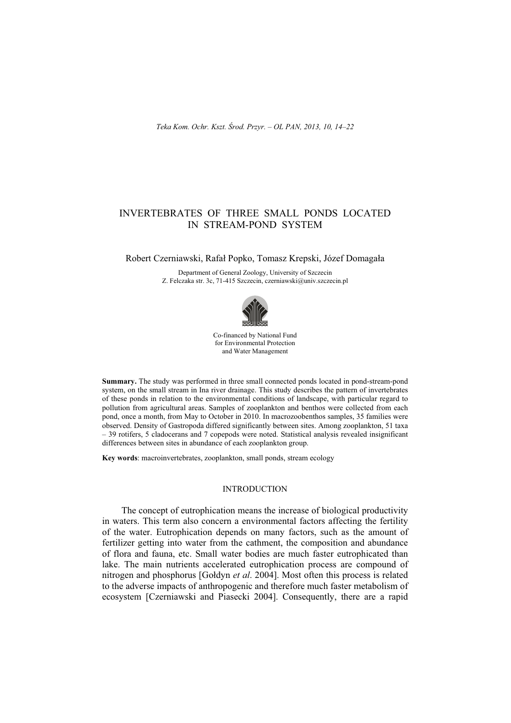# INVERTEBRATES OF THREE SMALL PONDS LOCATED IN STREAM-POND SYSTEM

# Robert Czerniawski, Rafaá Popko, Tomasz Krepski, Józef Domagaáa

Department of General Zoology, University of Szczecin Z. Felczaka str. 3c, 71-415 Szczecin, czerniawski@univ.szczecin.pl



Co-financed by National Fund for Environmental Protection and Water Management

**Summary.** The study was performed in three small connected ponds located in pond-stream-pond system, on the small stream in Ina river drainage. This study describes the pattern of invertebrates of these ponds in relation to the environmental conditions of landscape, with particular regard to pollution from agricultural areas. Samples of zooplankton and benthos were collected from each pond, once a month, from May to October in 2010. In macrozoobenthos samples, 35 families were observed. Density of Gastropoda differed significantly between sites. Among zooplankton, 51 taxa – 39 rotifers, 5 cladocerans and 7 copepods were noted. Statistical analysis revealed insignificant differences between sites in abundance of each zooplankton group.

**Key words**: macroinvertebrates, zooplankton, small ponds, stream ecology

#### INTRODUCTION

The concept of eutrophication means the increase of biological productivity in waters. This term also concern a environmental factors affecting the fertility of the water. Eutrophication depends on many factors, such as the amount of fertilizer getting into water from the cathment, the composition and abundance of flora and fauna, etc. Small water bodies are much faster eutrophicated than lake. The main nutrients accelerated eutrophication process are compound of nitrogen and phosphorus [Gołdyn *et al.* 2004]. Most often this process is related to the adverse impacts of anthropogenic and therefore much faster metabolism of ecosystem [Czerniawski and Piasecki 2004]. Consequently, there are a rapid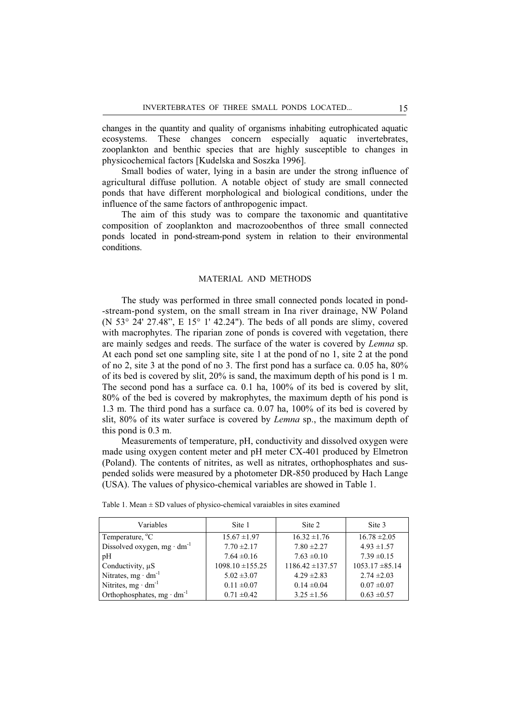changes in the quantity and quality of organisms inhabiting eutrophicated aquatic ecosystems. These changes concern especially aquatic invertebrates, zooplankton and benthic species that are highly susceptible to changes in physicochemical factors [Kudelska and Soszka 1996].

Small bodies of water, lying in a basin are under the strong influence of agricultural diffuse pollution. A notable object of study are small connected ponds that have different morphological and biological conditions, under the influence of the same factors of anthropogenic impact.

The aim of this study was to compare the taxonomic and quantitative composition of zooplankton and macrozoobenthos of three small connected ponds located in pond-stream-pond system in relation to their environmental conditions.

# MATERIAL AND METHODS

The study was performed in three small connected ponds located in pond- -stream-pond system, on the small stream in Ina river drainage, NW Poland (N 53° 24' 27.48", E 15° 1' 42.24"). The beds of all ponds are slimy, covered with macrophytes. The riparian zone of ponds is covered with vegetation, there are mainly sedges and reeds. The surface of the water is covered by *Lemna* sp. At each pond set one sampling site, site 1 at the pond of no 1, site 2 at the pond of no 2, site 3 at the pond of no 3. The first pond has a surface ca. 0.05 ha, 80% of its bed is covered by slit, 20% is sand, the maximum depth of his pond is 1 m. The second pond has a surface ca. 0.1 ha, 100% of its bed is covered by slit, 80% of the bed is covered by makrophytes, the maximum depth of his pond is 1.3 m. The third pond has a surface ca. 0.07 ha, 100% of its bed is covered by slit, 80% of its water surface is covered by *Lemna* sp., the maximum depth of this pond is 0.3 m.

Measurements of temperature, pH, conductivity and dissolved oxygen were made using oxygen content meter and pH meter CX-401 produced by Elmetron (Poland). The contents of nitrites, as well as nitrates, orthophosphates and suspended solids were measured by a photometer DR-850 produced by Hach Lange (USA). The values of physico-chemical variables are showed in Table 1.

| Variables                                     | Site 1               | Site 2               | Site 3              |
|-----------------------------------------------|----------------------|----------------------|---------------------|
| Temperature, <sup>o</sup> C                   | $15.67 \pm 1.97$     | $16.32 \pm 1.76$     | $16.78 \pm 2.05$    |
| Dissolved oxygen, mg $\cdot$ dm <sup>-1</sup> | $7.70 \pm 2.17$      | $7.80 \pm 2.27$      | $4.93 \pm 1.57$     |
| pH                                            | $7.64 \pm 0.16$      | $7.63 \pm 0.10$      | $7.39 \pm 0.15$     |
| Conductivity, $\mu S$                         | $1098.10 \pm 155.25$ | $1186.42 \pm 137.57$ | $1053.17 \pm 85.14$ |
| Nitrates, $mg \cdot dm^{-1}$                  | $5.02 \pm 3.07$      | $4.29 \pm 2.83$      | $2.74 \pm 2.03$     |
| Nitrites, $mg \cdot dm^{-1}$                  | $0.11 \pm 0.07$      | $0.14 \pm 0.04$      | $0.07 \pm 0.07$     |
| Orthophosphates, $mg \cdot dm^{-1}$           | $0.71 \pm 0.42$      | $3.25 \pm 1.56$      | $0.63 \pm 0.57$     |

Table 1. Mean  $\pm$  SD values of physico-chemical varaiables in sites examined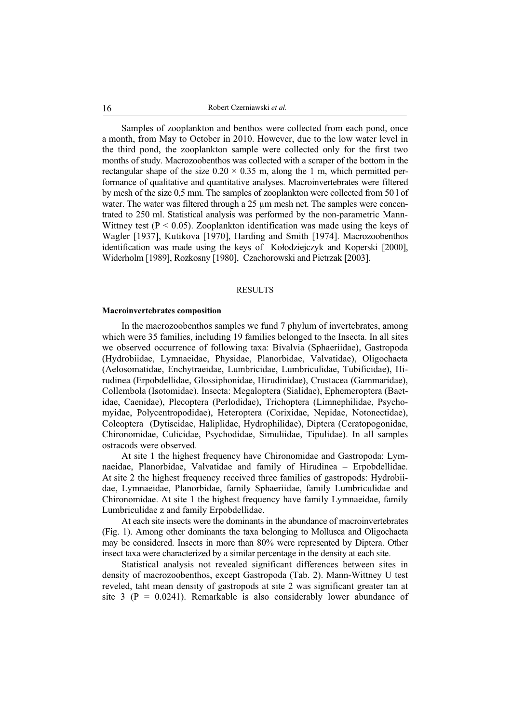16 Robert Czerniawski *et al.* 

Samples of zooplankton and benthos were collected from each pond, once a month, from May to October in 2010. However, due to the low water level in the third pond, the zooplankton sample were collected only for the first two months of study. Macrozoobenthos was collected with a scraper of the bottom in the rectangular shape of the size  $0.20 \times 0.35$  m, along the 1 m, which permitted performance of qualitative and quantitative analyses. Macroinvertebrates were filtered by mesh of the size 0,5 mm. The samples of zooplankton were collected from 50 l of water. The water was filtered through a 25 µm mesh net. The samples were concentrated to 250 ml. Statistical analysis was performed by the non-parametric Mann-Wittney test ( $P < 0.05$ ). Zooplankton identification was made using the keys of Wagler [1937], Kutikova [1970], Harding and Smith [1974]. Macrozoobenthos identification was made using the keys of Kołodziejczyk and Koperski [2000], Widerholm [1989], Rozkosny [1980], Czachorowski and Pietrzak [2003].

## RESULTS

#### **Macroinvertebrates composition**

In the macrozoobenthos samples we fund 7 phylum of invertebrates, among which were 35 families, including 19 families belonged to the Insecta. In all sites we observed occurrence of following taxa: Bivalvia (Sphaeriidae), Gastropoda (Hydrobiidae, Lymnaeidae, Physidae, Planorbidae, Valvatidae), Oligochaeta (Aelosomatidae, Enchytraeidae, Lumbricidae, Lumbriculidae, Tubificidae), Hirudinea (Erpobdellidae, Glossiphonidae, Hirudinidae), Crustacea (Gammaridae), Collembola (Isotomidae). Insecta: Megaloptera (Sialidae), Ephemeroptera (Baetidae, Caenidae), Plecoptera (Perlodidae), Trichoptera (Limnephilidae, Psychomyidae, Polycentropodidae), Heteroptera (Corixidae, Nepidae, Notonectidae), Coleoptera (Dytiscidae, Haliplidae, Hydrophilidae), Diptera (Ceratopogonidae, Chironomidae, Culicidae, Psychodidae, Simuliidae, Tipulidae). In all samples ostracods were observed.

At site 1 the highest frequency have Chironomidae and Gastropoda: Lymnaeidae, Planorbidae, Valvatidae and family of Hirudinea – Erpobdellidae. At site 2 the highest frequency received three families of gastropods: Hydrobiidae, Lymnaeidae, Planorbidae, family Sphaeriidae, family Lumbriculidae and Chironomidae. At site 1 the highest frequency have family Lymnaeidae, family Lumbriculidae z and family Erpobdellidae.

At each site insects were the dominants in the abundance of macroinvertebrates (Fig. 1). Among other dominants the taxa belonging to Mollusca and Oligochaeta may be considered. Insects in more than 80% were represented by Diptera. Other insect taxa were characterized by a similar percentage in the density at each site.

Statistical analysis not revealed significant differences between sites in density of macrozoobenthos, except Gastropoda (Tab. 2). Mann-Wittney U test reveled, taht mean density of gastropods at site 2 was significant greater tan at site 3 ( $P = 0.0241$ ). Remarkable is also considerably lower abundance of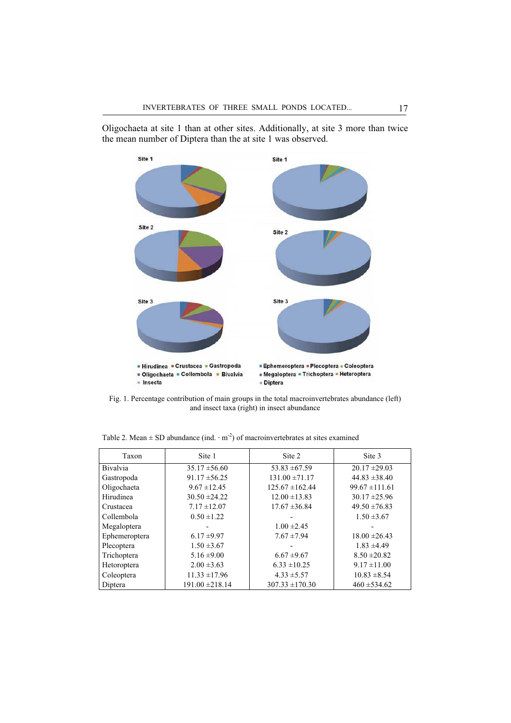

Oligochaeta at site 1 than at other sites. Additionally, at site 3 more than twice the mean number of Diptera than the at site 1 was observed.

Fig. 1. Percentage contribution of main groups in the total macroinvertebrates abundance (left) and insect taxa (right) in insect abundance

| Taxon           | Site 1              | Site 2              | Site 3             |
|-----------------|---------------------|---------------------|--------------------|
| <b>Bivalvia</b> | $35.17 \pm 56.60$   | $53.83 \pm 67.59$   | $20.17 \pm 29.03$  |
| Gastropoda      | $91.17 \pm 56.25$   | $131.00 \pm 71.17$  | $44.83 \pm 38.40$  |
| Oligochaeta     | $9.67 \pm 12.45$    | $125.67 \pm 162.44$ | $99.67 \pm 111.61$ |
| Hirudinea       | $30.50 \pm 24.22$   | $12.00 \pm 13.83$   | $30.17 \pm 25.96$  |
| Crustacea       | $7.17 \pm 12.07$    | $17.67 \pm 36.84$   | $49.50 \pm 76.83$  |
| Collembola      | $0.50 \pm 1.22$     |                     | $1.50 \pm 3.67$    |
| Megaloptera     |                     | $1.00 \pm 2.45$     |                    |
| Ephemeroptera   | $6.17 \pm 9.97$     | $7.67 \pm 7.94$     | $18.00 \pm 26.43$  |
| Plecoptera      | $1.50 \pm 3.67$     |                     | $1.83 \pm 4.49$    |
| Trichoptera     | $5.16 \pm 9.00$     | $6.67 \pm 9.67$     | $8.50 \pm 20.82$   |
| Hetoroptera     | $2.00 \pm 3.63$     | $6.33 \pm 10.25$    | $9.17 \pm 11.00$   |
| Coleoptera      | $11.33 \pm 17.96$   | $4.33 \pm 5.57$     | $10.83 \pm 8.54$   |
| Diptera         | $191.00 \pm 218.14$ | $307.33 \pm 170.30$ | $460 \pm 534.62$   |

Table 2. Mean  $\pm$  SD abundance (ind.  $\cdot$  m<sup>-2</sup>) of macroinvertebrates at sites examined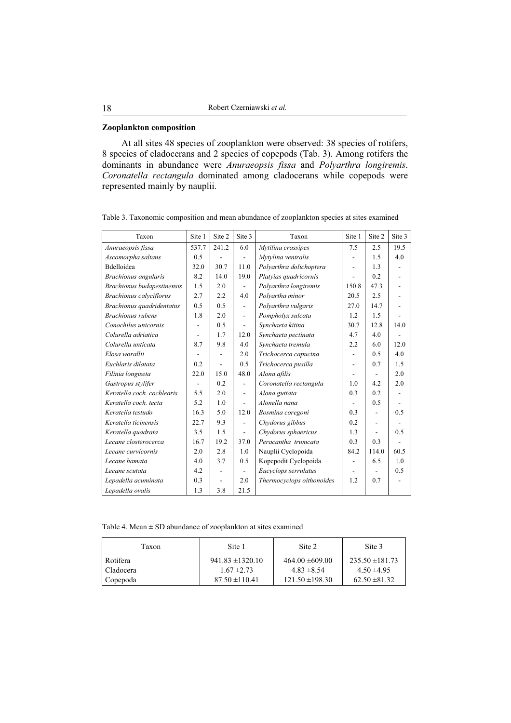## **Zooplankton composition**

At all sites 48 species of zooplankton were observed: 38 species of rotifers, 8 species of cladocerans and 2 species of copepods (Tab. 3). Among rotifers the dominants in abundance were *Anuraeopsis fissa* and *Polyarthra longiremis*. *Coronatella rectangula* dominated among cladocerans while copepods were represented mainly by nauplii.

Table 3. Taxonomic composition and mean abundance of zooplankton species at sites examined

| Taxon                          | Site 1         | Site 2 | Site 3                   | Taxon                     | Site 1 | Site 2                   | Site 3 |
|--------------------------------|----------------|--------|--------------------------|---------------------------|--------|--------------------------|--------|
| Anuraeopsis fissa              | 537.7          | 241.2  | 6.0                      | Mytilina crassipes        | 7.5    | 2.5                      | 19.5   |
| Ascomorpha saltans             | 0.5            |        |                          | Mytylina ventralis        |        | 1.5                      | 4.0    |
| Bdelloidea                     | 32.0           | 30.7   | 11.0                     | Polyarthra dolichoptera   | ÷,     | 1.3                      |        |
| Brachionus angularis           | 8.2            | 14.0   | 19.0                     | Platyias quadricornis     |        | 0.2                      |        |
| Brachionus budapestinensis     | 1.5            | 2.0    |                          | Polyarthra longiremis     | 150.8  | 47.3                     |        |
| <b>Brachionus</b> calyciflorus | 2.7            | 2.2    | 4.0                      | Polyartha minor           | 20.5   | 2.5                      |        |
| Brachionus quadridentatus      | 0.5            | 0.5    | $\overline{\phantom{a}}$ | Polyarthra vulgaris       | 27.0   | 14.7                     |        |
| Brachionus rubens              | 1.8            | 2.0    | $\overline{\phantom{a}}$ | Pompholyx sulcata         | 1.2    | 1.5                      |        |
| Conochilus unicornis           |                | 0.5    |                          | Synchaeta kitina          | 30.7   | 12.8                     | 14.0   |
| Colurella adriatica            | $\overline{a}$ | 1.7    | 12.0                     | Synchaeta pectinata       | 4.7    | 4.0                      |        |
| Colurella unticata             | 8.7            | 9.8    | 4.0                      | Synchaeta tremula         | 2.2    | 6.0                      | 12.0   |
| Elosa worallii                 |                |        | 2.0                      | Trichocerca capucina      |        | 0.5                      | 4.0    |
| Euchlaris dilatata             | 0.2            |        | 0.5                      | Trichocerca pusilla       |        | 0.7                      | 1.5    |
| Filinia longiseta              | 22.0           | 15.0   | 48.0                     | Alona afilis              |        | $\blacksquare$           | 2.0    |
| Gastropus stylifer             |                | 0.2    |                          | Coronatella rectangula    | 1.0    | 4.2                      | 2.0    |
| Keratella coch, cochlearis     | 5.5            | 2.0    | ۰                        | Alona guttata             | 0.3    | 0.2                      |        |
| Keratella coch. tecta          | 5.2            | 1.0    | $\overline{a}$           | Alonella nana             |        | 0.5                      |        |
| Keratella testudo              | 16.3           | 5.0    | 12.0                     | Bosmina coregoni          | 0.3    |                          | 0.5    |
| Keratella ticinensis           | 22.7           | 9.3    |                          | Chydorus gibbus           | 0.2    |                          |        |
| Keratella quadrata             | 3.5            | 1.5    | ÷.                       | Chydorus sphaericus       | 1.3    |                          | 0.5    |
| Lecane closterocerca           | 16.7           | 19.2   | 37.0                     | Peracantha trumcata       | 0.3    | 0.3                      |        |
| Lecane curvicornis             | 2.0            | 2.8    | 1.0                      | Nauplii Cyclopoida        | 84.2   | 114.0                    | 60.5   |
| Lecane hamata                  | 4.0            | 3.7    | 0.5                      | Kopepodit Cyclopoida      |        | 6.5                      | 1.0    |
| Lecane scutata                 | 4.2            | ۰      | $\overline{\phantom{a}}$ | Eucyclops serrulatus      |        | $\overline{\phantom{a}}$ | 0.5    |
| Lepadella acuminata            | 0.3            |        | 2.0                      | Thermocyclops oithonoides | 1.2    | 0.7                      |        |
| Lepadella ovalis               | 1.3            | 3.8    | 21.5                     |                           |        |                          |        |

Table 4. Mean  $\pm$  SD abundance of zooplankton at sites examined

| Taxon      | Site 1               | Site 2              | Site 3              |
|------------|----------------------|---------------------|---------------------|
| Rotifera   | $941.83 \pm 1320.10$ | $464.00 \pm 609.00$ | $235.50 \pm 181.73$ |
| ∟Cladocera | $1.67 \pm 2.73$      | $4.83 \pm 8.54$     | $4.50 \pm 4.95$     |
| Copepoda   | $87.50 \pm 110.41$   | $121.50 \pm 198.30$ | $62.50 \pm 81.32$   |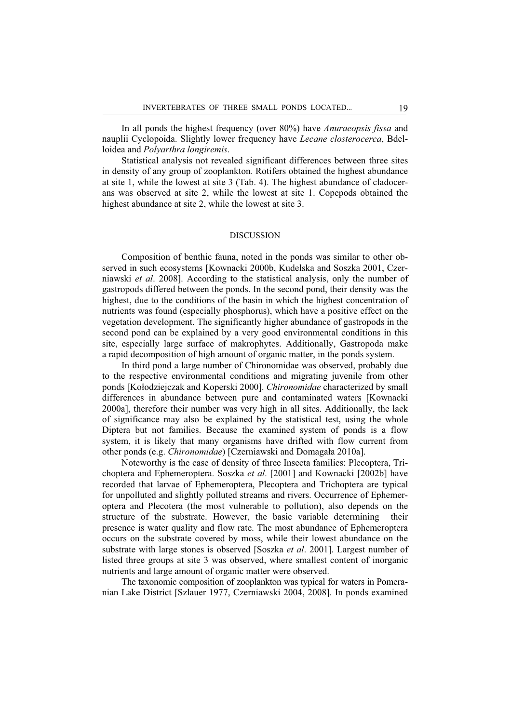In all ponds the highest frequency (over 80%) have *Anuraeopsis fissa* and nauplii Cyclopoida. Slightly lower frequency have *Lecane closterocerca*, Bdelloidea and *Polyarthra longiremis*.

Statistical analysis not revealed significant differences between three sites in density of any group of zooplankton. Rotifers obtained the highest abundance at site 1, while the lowest at site 3 (Tab. 4). The highest abundance of cladocerans was observed at site 2, while the lowest at site 1. Copepods obtained the highest abundance at site 2, while the lowest at site 3.

#### DISCUSSION

Composition of benthic fauna, noted in the ponds was similar to other observed in such ecosystems [Kownacki 2000b, Kudelska and Soszka 2001, Czerniawski *et al*. 2008]. According to the statistical analysis, only the number of gastropods differed between the ponds. In the second pond, their density was the highest, due to the conditions of the basin in which the highest concentration of nutrients was found (especially phosphorus), which have a positive effect on the vegetation development. The significantly higher abundance of gastropods in the second pond can be explained by a very good environmental conditions in this site, especially large surface of makrophytes. Additionally, Gastropoda make a rapid decomposition of high amount of organic matter, in the ponds system.

In third pond a large number of Chironomidae was observed, probably due to the respective environmental conditions and migrating juvenile from other ponds [Kołodziejczak and Koperski 2000]. *Chironomidae* characterized by small differences in abundance between pure and contaminated waters [Kownacki 2000a], therefore their number was very high in all sites. Additionally, the lack of significance may also be explained by the statistical test, using the whole Diptera but not families. Because the examined system of ponds is a flow system, it is likely that many organisms have drifted with flow current from other ponds (e.g. *Chironomidae*) [Czerniawski and Domagaáa 2010a].

Noteworthy is the case of density of three Insecta families: Plecoptera, Trichoptera and Ephemeroptera. Soszka *et al*. [2001] and Kownacki [2002b] have recorded that larvae of Ephemeroptera, Plecoptera and Trichoptera are typical for unpolluted and slightly polluted streams and rivers. Occurrence of Ephemeroptera and Plecotera (the most vulnerable to pollution), also depends on the structure of the substrate. However, the basic variable determining their presence is water quality and flow rate. The most abundance of Ephemeroptera occurs on the substrate covered by moss, while their lowest abundance on the substrate with large stones is observed [Soszka *et al*. 2001]. Largest number of listed three groups at site 3 was observed, where smallest content of inorganic nutrients and large amount of organic matter were observed.

The taxonomic composition of zooplankton was typical for waters in Pomeranian Lake District [Szlauer 1977, Czerniawski 2004, 2008]. In ponds examined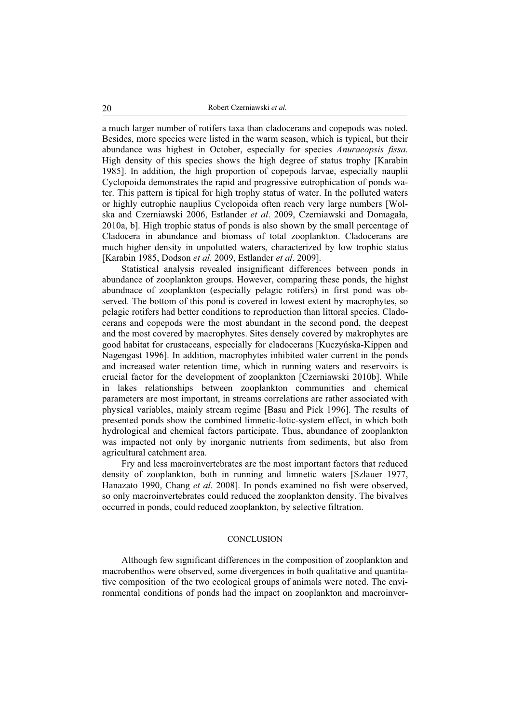a much larger number of rotifers taxa than cladocerans and copepods was noted. Besides, more species were listed in the warm season, which is typical, but their abundance was highest in October, especially for species *Anuraeopsis fissa*. High density of this species shows the high degree of status trophy [Karabin 1985]. In addition, the high proportion of copepods larvae, especially nauplii Cyclopoida demonstrates the rapid and progressive eutrophication of ponds water. This pattern is tipical for high trophy status of water. In the polluted waters or highly eutrophic nauplius Cyclopoida often reach very large numbers [Wolska and Czerniawski 2006, Estlander *et al*. 2009, Czerniawski and Domagaáa, 2010a, b]. High trophic status of ponds is also shown by the small percentage of Cladocera in abundance and biomass of total zooplankton. Cladocerans are much higher density in unpolutted waters, characterized by low trophic status [Karabin 1985, Dodson *et al*. 2009, Estlander *et al*. 2009].

Statistical analysis revealed insignificant differences between ponds in abundance of zooplankton groups. However, comparing these ponds, the highst abundnace of zooplankton (especially pelagic rotifers) in first pond was observed. The bottom of this pond is covered in lowest extent by macrophytes, so pelagic rotifers had better conditions to reproduction than littoral species. Cladocerans and copepods were the most abundant in the second pond, the deepest and the most covered by macrophytes. Sites densely covered by makrophytes are good habitat for crustaceans, especially for cladocerans [Kuczyńska-Kippen and Nagengast 1996]. In addition, macrophytes inhibited water current in the ponds and increased water retention time, which in running waters and reservoirs is crucial factor for the development of zooplankton [Czerniawski 2010b]. While in lakes relationships between zooplankton communities and chemical parameters are most important, in streams correlations are rather associated with physical variables, mainly stream regime [Basu and Pick 1996]. The results of presented ponds show the combined limnetic-lotic-system effect, in which both hydrological and chemical factors participate. Thus, abundance of zooplankton was impacted not only by inorganic nutrients from sediments, but also from agricultural catchment area.

Fry and less macroinvertebrates are the most important factors that reduced density of zooplankton, both in running and limnetic waters [Szlauer 1977, Hanazato 1990, Chang *et al*. 2008]. In ponds examined no fish were observed, so only macroinvertebrates could reduced the zooplankton density. The bivalves occurred in ponds, could reduced zooplankton, by selective filtration.

## **CONCLUSION**

Although few significant differences in the composition of zooplankton and macrobenthos were observed, some divergences in both qualitative and quantitative composition of the two ecological groups of animals were noted. The environmental conditions of ponds had the impact on zooplankton and macroinver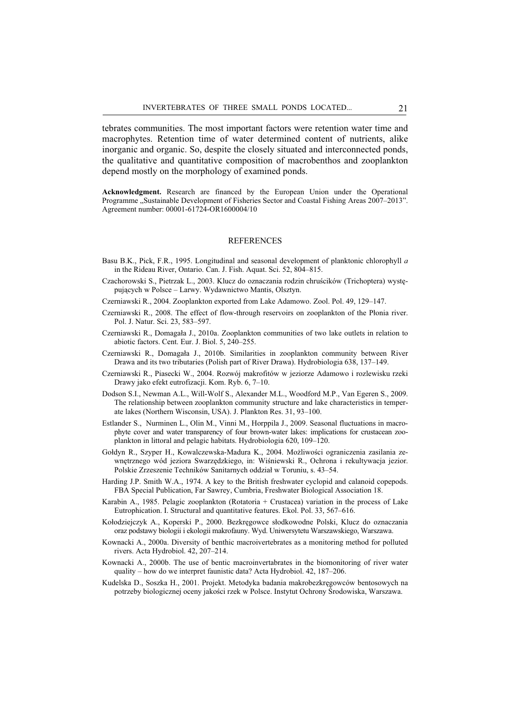tebrates communities. The most important factors were retention water time and macrophytes. Retention time of water determined content of nutrients, alike inorganic and organic. So, despite the closely situated and interconnected ponds, the qualitative and quantitative composition of macrobenthos and zooplankton depend mostly on the morphology of examined ponds.

**Acknowledgment.** Research are financed by the European Union under the Operational Programme "Sustainable Development of Fisheries Sector and Coastal Fishing Areas 2007-2013". Agreement number: 00001-61724-OR1600004/10

#### REFERENCES

- Basu B.K., Pick, F.R., 1995. Longitudinal and seasonal development of planktonic chlorophyll *a* in the Rideau River, Ontario. Can. J. Fish. Aquat. Sci. 52, 804–815.
- Czachorowski S., Pietrzak L., 2003. Klucz do oznaczania rodzin chruścików (Trichoptera) występujących w Polsce – Larwy. Wydawnictwo Mantis, Olsztyn.
- Czerniawski R., 2004. Zooplankton exported from Lake Adamowo. Zool. Pol. 49, 129–147.
- Czerniawski R., 2008. The effect of flow-through reservoirs on zooplankton of the Płonia river. Pol. J. Natur. Sci. 23, 583–597.
- Czerniawski R., Domagaáa J., 2010a. Zooplankton communities of two lake outlets in relation to abiotic factors. Cent. Eur. J. Biol. 5, 240–255.
- Czerniawski R., Domagaáa J., 2010b. Similarities in zooplankton community between River Drawa and its two tributaries (Polish part of River Drawa). Hydrobiologia 638, 137–149.
- Czerniawski R., Piasecki W., 2004. Rozwój makrofitów w jeziorze Adamowo i rozlewisku rzeki Drawy jako efekt eutrofizacji. Kom. Ryb. 6, 7–10.
- Dodson S.I., Newman A.L., Will-Wolf S., Alexander M.L., Woodford M.P., Van Egeren S., 2009. The relationship between zooplankton community structure and lake characteristics in temperate lakes (Northern Wisconsin, USA). J. Plankton Res. 31, 93–100.
- Estlander S., Nurminen L., Olin M., Vinni M., Horppila J., 2009. Seasonal fluctuations in macrophyte cover and water transparency of four brown-water lakes: implications for crustacean zooplankton in littoral and pelagic habitats. Hydrobiologia 620, 109–120.
- Gołdyn R., Szyper H., Kowalczewska-Madura K., 2004. Możliwości ograniczenia zasilania zewnętrznego wód jeziora Swarzędzkiego, in: Wiśniewski R., Ochrona i rekultywacja jezior. Polskie Zrzeszenie Techników Sanitarnych oddziaá w Toruniu, s. 43–54.
- Harding J.P. Smith W.A., 1974. A key to the British freshwater cyclopid and calanoid copepods. FBA Special Publication, Far Sawrey, Cumbria, Freshwater Biological Association 18.
- Karabin A., 1985. Pelagic zooplankton (Rotatoria + Crustacea) variation in the process of Lake Eutrophication. I. Structural and quantitative features. Ekol. Pol. 33, 567–616.
- Kołodziejczyk A., Koperski P., 2000. Bezkręgowce słodkowodne Polski, Klucz do oznaczania oraz podstawy biologii i ekologii makrofauny. Wyd. Uniwersytetu Warszawskiego, Warszawa.
- Kownacki A., 2000a. Diversity of benthic macroivertebrates as a monitoring method for polluted rivers. Acta Hydrobiol. 42, 207–214.
- Kownacki A., 2000b. The use of bentic macroinvertabrates in the biomonitoring of river water quality – how do we interpret faunistic data? Acta Hydrobiol. 42, 187–206.
- Kudelska D., Soszka H., 2001. Projekt. Metodyka badania makrobezkręgowców bentosowych na potrzeby biologicznej oceny jakoĞci rzek w Polsce. Instytut Ochrony ĝrodowiska, Warszawa.